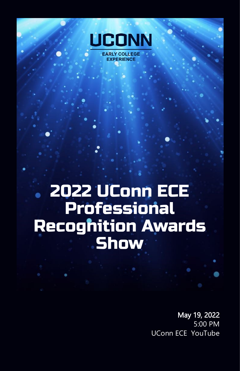

**EXPERIENCE** 

2022 UConn ECE **Professional Recognition Awards Show** 

> May 19, 2022 5:00 PM UConn ECE YouTube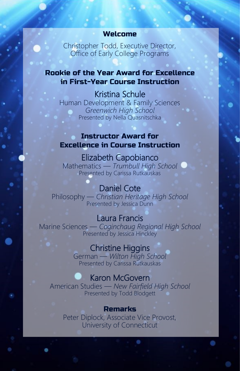#### Welcome

Christopher Todd, Executive Director, Office of Early College Programs

## Rookie of the Year Award for Excellence in First-Year Course Instruction

Kristina Schule Human Development & Family Sciences *Greenwich High School* Presented by Nella Quasnitschka

## Instructor Award for Excellence in Course Instruction

## Elizabeth Capobianco

Mathematics — *Trumbull High School* Presented by Carissa Rutkauskas

# Daniel Cote

Philosophy — *Christian Heritage High School* Presented by Jessica Dunn

## Laura Francis

Marine Sciences — *Coginchaug Regional High School* Presented by Jessica Hinckley

## Christine Higgins

German — *Wilton High School* Presented by Carissa Rutkauskas

## Karon McGovern

American Studies — *New Fairfield High School* Presented by Todd Blodgett

#### Remarks

Peter Diplock, Associate Vice Provost, University of Connecticut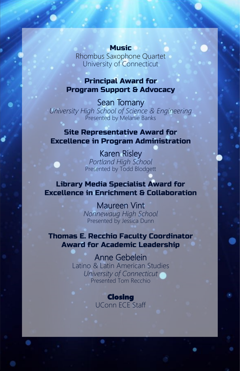#### **Music**

Rhombus Saxophone Quartet University of Connecticut

## Principal Award for Program Support & Advocacy

Sean Tomany *University High School of Science & Engineering* Presented by Melanie Banks

## Site Representative Award for Excellence in Program Administration

Karen Risley *Portland High School* Presented by Todd Blodgett

## Library Media Specialist Award for Excellence in Enrichment & Collaboration

Maureen Vint *Nonnewaug High School* Presented by Jessica Dunn

## Thomas E. Recchio Faculty Coordinator Award for Academic Leadership

Anne Gebelein Latino & Latin American Studies *University of Connecticut* Presented Tom Recchio

> Closing UConn ECE Staff